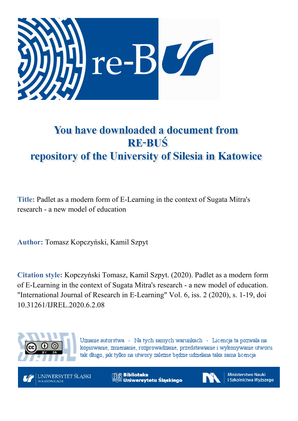

# You have downloaded a document from **RE-BUŚ** repository of the University of Silesia in Katowice

**Title:** Padlet as a modern form of E-Learning in the context of Sugata Mitra's research - a new model of education

**Author:** Tomasz Kopczyński, Kamil Szpyt

**Citation style:** Kopczyński Tomasz, Kamil Szpyt. (2020). Padlet as a modern form of E-Learning in the context of Sugata Mitra's research - a new model of education. "International Journal of Research in E-Learning" Vol. 6, iss. 2 (2020), s. 1-19, doi 10.31261/IJREL.2020.6.2.08



Uznanie autorstwa - Na tych samych warunkach - Licencja ta pozwala na kopiowanie, zmienianie, rozprowadzanie, przedstawianie i wykonywanie utworu tak długo, jak tylko na utwory zależne będzie udzielana taka sama licencja.

**UNIWERSYTET ŚLASKI** W KATOWICACH

**M** Biblioteka Uniwersytetu Śląskiego



**Ministerstwo Nauki** i Szkolnictwa Wyższego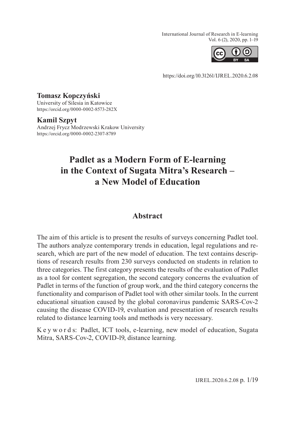International Journal of Research in E-learning Vol. 6 (2), 2020, pp. 1–19



https:/[/doi.org/10.31261/IJREL.2020.6.2.08](http://doi.org/10.31261/IJREL.2020.6.2.08)

## **Tomasz Kopczyński**

University of Silesia in Katowice https:/[/orcid.org/0000-0002-8573-282X](http://orcid.org/0000-0002-8573-282X)

#### **Kamil Szpyt**

Andrzej Frycz Modrzewski Krakow University https:/[/orcid.org/0000-0002-2307-8789](http://orcid.org/0000-0002-2307-8789)

## **Padlet as a Modern Form of E-learning in the Context of Sugata Mitra's Research – a New Model of Education**

## **Abstract**

The aim of this article is to present the results of surveys concerning Padlet tool. The authors analyze contemporary trends in education, legal regulations and research, which are part of the new model of education. The text contains descriptions of research results from 230 surveys conducted on students in relation to three categories. The first category presents the results of the evaluation of Padlet as a tool for content segregation, the second category concerns the evaluation of Padlet in terms of the function of group work, and the third category concerns the functionality and comparison of Padlet tool with other similar tools. In the current educational situation caused by the global coronavirus pandemic SARS-Cov-2 causing the disease COVID-19, evaluation and presentation of research results related to distance learning tools and methods is very necessary.

K e y w o r d s: Padlet, ICT tools, e-learning, new model of education, Sugata Mitra, SARS-Cov-2, COVID-19, distance learning.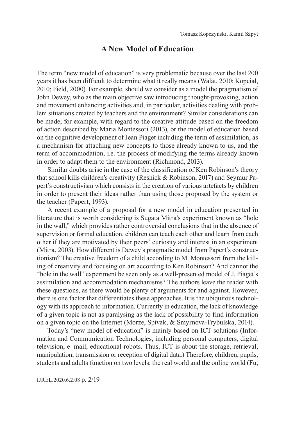## **A New Model of Education**

The term "new model of education" is very problematic because over the last 200 years it has been difficult to determine what it really means (Walat, 2010; Kopciał, 2010; Field, 2000). For example, should we consider as a model the pragmatism of John Dewey, who as the main objective saw introducing thought-provoking, action and movement enhancing activities and, in particular, activities dealing with problem situations created by teachers and the environment? Similar considerations can be made, for example, with regard to the creative attitude based on the freedom of action described by Maria Montessori (2013), or the model of education based on the cognitive development of Jean Piaget including the term of assimilation, as a mechanism for attaching new concepts to those already known to us, and the term of accommodation, i.e. the process of modifying the terms already known in order to adapt them to the environment (Richmond, 2013).

Similar doubts arise in the case of the classification of Ken Robinson's theory that school kills children's creativity (Resnick & Robinson, 2017) and Seymur Papert's constructivism which consists in the creation of various artefacts by children in order to present their ideas rather than using those proposed by the system or the teacher (Papert, 1993).

A recent example of a proposal for a new model in education presented in literature that is worth considering is Sugata Mitra's experiment known as "hole in the wall," which provides rather controversial conclusions that in the absence of supervision or formal education, children can teach each other and learn from each other if they are motivated by their peers' curiosity and interest in an experiment (Mitra, 2003). How different is Dewey's pragmatic model from Papert's constructionism? The creative freedom of a child according to M. Montessori from the killing of creativity and focusing on art according to Ken Robinson? And cannot the "hole in the wall" experiment be seen only as a well-presented model of J. Piaget's assimilation and accommodation mechanisms? The authors leave the reader with these questions, as there would be plenty of arguments for and against. However, there is one factor that differentiates these approaches. It is the ubiquitous technology with its approach to information. Currently in education, the lack of knowledge of a given topic is not as paralysing as the lack of possibility to find information on a given topic on the Internet (Morze, Spivak, & Smyrnova-Trybulska, 2014).

Today's "new model of education" is mainly based on ICT solutions (Information and Communication Technologies, including personal computers, digital television, e–mail, educational robots. Thus, ICT is about the storage, retrieval, manipulation, transmission or reception of digital data.) Therefore, children, pupils, students and adults function on two levels: the real world and the online world (Fu,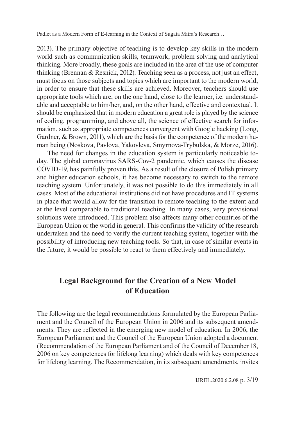2013). The primary objective of teaching is to develop key skills in the modern world such as communication skills, teamwork, problem solving and analytical thinking. More broadly, these goals are included in the area of the use of computer thinking (Brennan & Resnick, 2012). Teaching seen as a process, not just an effect, must focus on those subjects and topics which are important to the modern world, in order to ensure that these skills are achieved. Moreover, teachers should use appropriate tools which are, on the one hand, close to the learner, i.e. understandable and acceptable to him/her, and, on the other hand, effective and contextual. It should be emphasized that in modern education a great role is played by the science of coding, programming, and above all, the science of effective search for information, such as appropriate competences convergent with Google hacking (Long, Gardner, & Brown, 2011), which are the basis for the competence of the modern human being (Noskova, Pavlova, Yakovleva, Smyrnova-Trybulska, & Morze, 2016).

The need for changes in the education system is particularly noticeable today. The global coronavirus SARS-Cov-2 pandemic, which causes the disease COVID-19, has painfully proven this. As a result of the closure of Polish primary and higher education schools, it has become necessary to switch to the remote teaching system. Unfortunately, it was not possible to do this immediately in all cases. Most of the educational institutions did not have procedures and IT systems in place that would allow for the transition to remote teaching to the extent and at the level comparable to traditional teaching. In many cases, very provisional solutions were introduced. This problem also affects many other countries of the European Union or the world in general. This confirms the validity of the research undertaken and the need to verify the current teaching system, together with the possibility of introducing new teaching tools. So that, in case of similar events in the future, it would be possible to react to them effectively and immediately.

## **Legal Background for the Creation of a New Model of Education**

The following are the legal recommendations formulated by the European Parliament and the Council of the European Union in 2006 and its subsequent amendments. They are reflected in the emerging new model of education. In 2006, the European Parliament and the Council of the European Union adopted a document (Recommendation of the European Parliament and of the Council of December 18, 2006 on key competences for lifelong learning) which deals with key competences for lifelong learning. The Recommendation, in its subsequent amendments, invites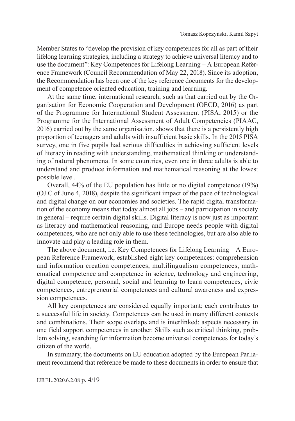Member States to "develop the provision of key competences for all as part of their lifelong learning strategies, including a strategy to achieve universal literacy and to use the document": Key Competences for Lifelong Learning – A European Reference Framework (Council Recommendation of May 22, 2018). Since its adoption, the Recommendation has been one of the key reference documents for the development of competence oriented education, training and learning.

At the same time, international research, such as that carried out by the Organisation for Economic Cooperation and Development (OECD, 2016) as part of the Programme for International Student Assessment (PISA, 2015) or the Programme for the International Assessment of Adult Competencies (PIAAC, 2016) carried out by the same organisation, shows that there is a persistently high proportion of teenagers and adults with insufficient basic skills. In the 2015 PISA survey, one in five pupils had serious difficulties in achieving sufficient levels of literacy in reading with understanding, mathematical thinking or understanding of natural phenomena. In some countries, even one in three adults is able to understand and produce information and mathematical reasoning at the lowest possible level.

Overall, 44% of the EU population has little or no digital competence (19%) (OJ C of June 4, 2018), despite the significant impact of the pace of technological and digital change on our economies and societies. The rapid digital transformation of the economy means that today almost all jobs – and participation in society in general – require certain digital skills. Digital literacy is now just as important as literacy and mathematical reasoning, and Europe needs people with digital competences, who are not only able to use these technologies, but are also able to innovate and play a leading role in them.

The above document, i.e. Key Competences for Lifelong Learning – A European Reference Framework, established eight key competences: comprehension and information creation competences, multilingualism competences, mathematical competence and competence in science, technology and engineering, digital competence, personal, social and learning to learn competences, civic competences, entrepreneurial competences and cultural awareness and expression competences.

All key competences are considered equally important; each contributes to a successful life in society. Competences can be used in many different contexts and combinations. Their scope overlaps and is interlinked: aspects necessary in one field support competences in another. Skills such as critical thinking, problem solving, searching for information become universal competences for today's citizen of the world.

In summary, the documents on EU education adopted by the European Parliament recommend that reference be made to these documents in order to ensure that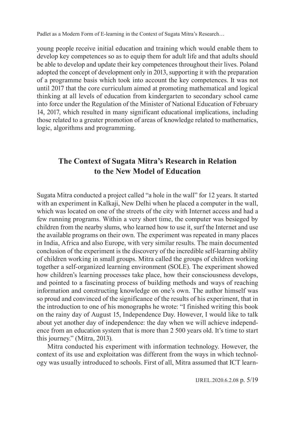young people receive initial education and training which would enable them to develop key competences so as to equip them for adult life and that adults should be able to develop and update their key competences throughout their lives. Poland adopted the concept of development only in 2013, supporting it with the preparation of a programme basis which took into account the key competences. It was not until 2017 that the core curriculum aimed at promoting mathematical and logical thinking at all levels of education from kindergarten to secondary school came into force under the Regulation of the Minister of National Education of February 14, 2017, which resulted in many significant educational implications, including those related to a greater promotion of areas of knowledge related to mathematics, logic, algorithms and programming.

## **The Context of Sugata Mitra's Research in Relation to the New Model of Education**

Sugata Mitra conducted a project called "a hole in the wall" for 12 years. It started with an experiment in Kalkaji, New Delhi when he placed a computer in the wall, which was located on one of the streets of the city with Internet access and had a few running programs. Within a very short time, the computer was besieged by children from the nearby slums, who learned how to use it, surf the Internet and use the available programs on their own. The experiment was repeated in many places in India, Africa and also Europe, with very similar results. The main documented conclusion of the experiment is the discovery of the incredible self-learning ability of children working in small groups. Mitra called the groups of children working together a self-organized learning environment (SOLE). The experiment showed how children's learning processes take place, how their consciousness develops, and pointed to a fascinating process of building methods and ways of reaching information and constructing knowledge on one's own. The author himself was so proud and convinced of the significance of the results of his experiment, that in the introduction to one of his monographs he wrote: "I finished writing this book on the rainy day of August 15, Independence Day. However, I would like to talk about yet another day of independence: the day when we will achieve independence from an education system that is more than 2 500 years old. It's time to start this journey." (Mitra, 2013).

Mitra conducted his experiment with information technology. However, the context of its use and exploitation was different from the ways in which technology was usually introduced to schools. First of all, Mitra assumed that ICT learn-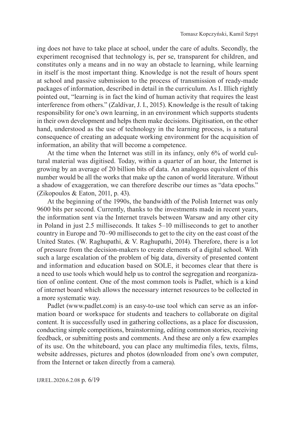ing does not have to take place at school, under the care of adults. Secondly, the experiment recognised that technology is, per se, transparent for children, and constitutes only a means and in no way an obstacle to learning, while learning in itself is the most important thing. Knowledge is not the result of hours spent at school and passive submission to the process of transmission of ready-made packages of information, described in detail in the curriculum. As I. Illich rightly pointed out, "learning is in fact the kind of human activity that requires the least interference from others." (Zaldívar, J. I., 2015). Knowledge is the result of taking responsibility for one's own learning, in an environment which supports students in their own development and helps them make decisions. Digitisation, on the other hand, understood as the use of technology in the learning process, is a natural consequence of creating an adequate working environment for the acquisition of information, an ability that will become a competence.

At the time when the Internet was still in its infancy, only 6% of world cultural material was digitised. Today, within a quarter of an hour, the Internet is growing by an average of 20 billion bits of data. An analogous equivalent of this number would be all the works that make up the canon of world literature. Without a shadow of exaggeration, we can therefore describe our times as "data epochs." (Zikopoulos & Eaton, 2011, p. 43).

At the beginning of the 1990s, the bandwidth of the Polish Internet was only 9600 bits per second. Currently, thanks to the investments made in recent years, the information sent via the Internet travels between Warsaw and any other city in Poland in just 2.5 milliseconds. It takes 5–10 milliseconds to get to another country in Europe and 70–90 milliseconds to get to the city on the east coast of the United States. (W. Raghupathi, & V. Raghupathi, 2014). Therefore, there is a lot of pressure from the decision-makers to create elements of a digital school. With such a large escalation of the problem of big data, diversity of presented content and information and education based on SOLE, it becomes clear that there is a need to use tools which would help us to control the segregation and reorganization of online content. One of the most common tools is Padlet, which is a kind of internet board which allows the necessary internet resources to be collected in a more systematic way.

Padlet (www.padlet.com) is an easy-to-use tool which can serve as an information board or workspace for students and teachers to collaborate on digital content. It is successfully used in gathering collections, as a place for discussion, conducting simple competitions, brainstorming, editing common stories, receiving feedback, or submitting posts and comments. And these are only a few examples of its use. On the whiteboard, you can place any multimedia files, texts, films, website addresses, pictures and photos (downloaded from one's own computer, from the Internet or taken directly from a camera).

IJREL.2020.6.2.08 p. 6/19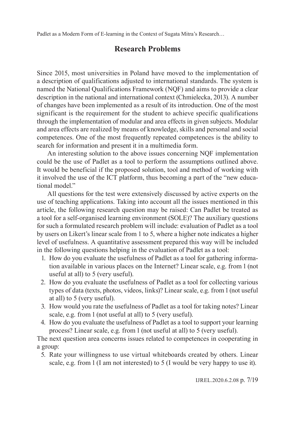## **Research Problems**

Since 2015, most universities in Poland have moved to the implementation of a description of qualifications adjusted to international standards. The system is named the National Qualifications Framework (NQF) and aims to provide a clear description in the national and international context (Chmielecka, 2013). A number of changes have been implemented as a result of its introduction. One of the most significant is the requirement for the student to achieve specific qualifications through the implementation of modular and area effects in given subjects. Modular and area effects are realized by means of knowledge, skills and personal and social competences. One of the most frequently repeated competences is the ability to search for information and present it in a multimedia form.

An interesting solution to the above issues concerning NQF implementation could be the use of Padlet as a tool to perform the assumptions outlined above. It would be beneficial if the proposed solution, tool and method of working with it involved the use of the ICT platform, thus becoming a part of the "new educational model."

All questions for the test were extensively discussed by active experts on the use of teaching applications. Taking into account all the issues mentioned in this article, the following research question may be raised: Can Padlet be treated as a tool for a self-organised learning environment (SOLE)? The auxiliary questions for such a formulated research problem will include: evaluation of Padlet as a tool by users on Likert's linear scale from 1 to 5, where a higher note indicates a higher level of usefulness. A quantitative assessment prepared this way will be included in the following questions helping in the evaluation of Padlet as a tool:

- 1. How do you evaluate the usefulness of Padlet as a tool for gathering information available in various places on the Internet? Linear scale, e.g. from 1 (not useful at all) to 5 (very useful).
- 2. How do you evaluate the usefulness of Padlet as a tool for collecting various types of data (texts, photos, videos, links)? Linear scale, e.g. from 1 (not useful at all) to 5 (very useful).
- 3. How would you rate the usefulness of Padlet as a tool for taking notes? Linear scale, e.g. from 1 (not useful at all) to 5 (very useful).
- 4. How do you evaluate the usefulness of Padlet as a tool to support your learning process? Linear scale, e.g. from 1 (not useful at all) to 5 (very useful).

The next question area concerns issues related to competences in cooperating in a group:

5. Rate your willingness to use virtual whiteboards created by others. Linear scale, e.g. from 1 (I am not interested) to 5 (I would be very happy to use it).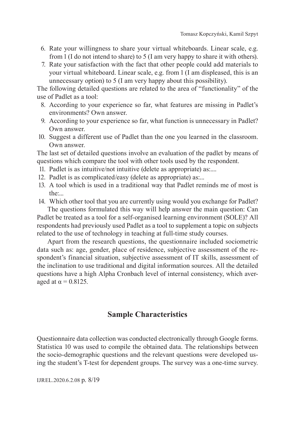- 6. Rate your willingness to share your virtual whiteboards. Linear scale, e.g. from 1 (I do not intend to share) to 5 (I am very happy to share it with others).
- 7. Rate your satisfaction with the fact that other people could add materials to your virtual whiteboard. Linear scale, e.g. from 1 (I am displeased, this is an unnecessary option) to 5 (I am very happy about this possibility).

The following detailed questions are related to the area of "functionality" of the use of Padlet as a tool:

- 8. According to your experience so far, what features are missing in Padlet's environments? Own answer.
- 9. According to your experience so far, what function is unnecessary in Padlet? Own answer.
- 10. Suggest a different use of Padlet than the one you learned in the classroom. Own answer.

The last set of detailed questions involve an evaluation of the padlet by means of questions which compare the tool with other tools used by the respondent.

- 11. Padlet is as intuitive/not intuitive (delete as appropriate) as:....
- 12. Padlet is as complicated/easy (delete as appropriate) as:...
- 13. A tool which is used in a traditional way that Padlet reminds me of most is the:...
- 14. Which other tool that you are currently using would you exchange for Padlet? The questions formulated this way will help answer the main question: Can

Padlet be treated as a tool for a self-organised learning environment (SOLE)? All respondents had previously used Padlet as a tool to supplement a topic on subjects related to the use of technology in teaching at full-time study courses.

Apart from the research questions, the questionnaire included sociometric data such as: age, gender, place of residence, subjective assessment of the respondent's financial situation, subjective assessment of IT skills, assessment of the inclination to use traditional and digital information sources. All the detailed questions have a high Alpha Cronbach level of internal consistency, which averaged at  $\alpha = 0.8125$ .

## **Sample Characteristics**

Questionnaire data collection was conducted electronically through Google forms. Statistica 10 was used to compile the obtained data. The relationships between the socio-demographic questions and the relevant questions were developed using the student's T-test for dependent groups. The survey was a one-time survey.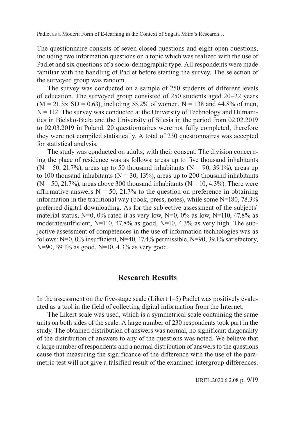The questionnaire consists of seven closed questions and eight open questions, including two information questions on a topic which was realized with the use of Padlet and six questions of a socio-demographic type. All respondents were made familiar with the handling of Padlet before starting the survey. The selection of the surveyed group was random.

The survey was conducted on a sample of 250 students of different levels of education. The surveyed group consisted of 250 students aged 20–22 years  $(M = 21.35; SD = 0.63)$ , including 55.2% of women, N = 138 and 44.8% of men,  $N = 112$ . The survey was conducted at the University of Technology and Humanities in Bielsko-Biała and the University of Silesia in the period from 02.02.2019 to 02.03.2019 in Poland. 20 questionnaires were not fully completed, therefore they were not compiled statistically. A total of 230 questionnaires was accepted for statistical analysis.

The study was conducted on adults, with their consent. The division concerning the place of residence was as follows: areas up to five thousand inhabitants  $(N = 50, 21.7%)$ , areas up to 50 thousand inhabitants  $(N = 90, 39.1%)$ , areas up to 100 thousand inhabitants ( $N = 30, 13\%$ ), areas up to 200 thousand inhabitants  $(N = 50, 21.7%)$ , areas above 300 thousand inhabitants  $(N = 10, 4.3%)$ . There were affirmative answers  $N = 50$ , 21.7% to the question on preference in obtaining information in the traditional way (book, press, notes), while some N=180, 78.3% preferred digital downloading. As for the subjective assessment of the subjects' material status,  $N=0$ ,  $0\%$  rated it as very low,  $N=0$ ,  $0\%$  as low,  $N=110$ , 47.8% as moderate/sufficient, N=110, 47.8% as good, N=10, 4.3% as very high. The subjective assessment of competences in the use of information technologies was as follows: N=0, 0% insufficient, N=40, 17.4% permissible, N=90, 39.1% satisfactory, N=90, 39.1% as good, N=10, 4.3% as very good.

### **Research Results**

In the assessment on the five-stage scale (Likert 1–5) Padlet was positively evaluated as a tool in the field of collecting digital information from the Internet.

The Likert scale was used, which is a symmetrical scale containing the same units on both sides of the scale. A large number of 230 respondents took part in the study. The obtained distribution of answers was normal, no significant diagonality of the distribution of answers to any of the questions was noted. We believe that a large number of respondents and a normal distribution of answers to the questions cause that measuring the significance of the difference with the use of the parametric test will not give a falsified result of the examined intergroup differences.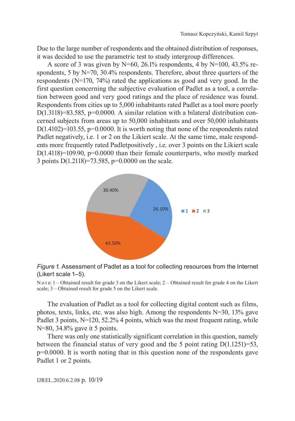Due to the large number of respondents and the obtained distribution of responses, it was decided to use the parametric test to study intergroup differences.

A score of 3 was given by  $N=60$ , 26.1% respondents, 4 by  $N=100$ , 43.5% respondents, 5 by N=70, 30.4% respondents. Therefore, about three quarters of the respondents (N=170, 74%) rated the applications as good and very good. In the first question concerning the subjective evaluation of Padlet as a tool, a correlation between good and very good ratings and the place of residence was found. Respondents from cities up to 5,000 inhabitants rated Padlet as a tool more poorly D(1.3118)=83.585, p=0.0000. A similar relation with a bilateral distribution concerned subjects from areas up to 50,000 inhabitants and over 50,000 inhabitants  $D(1.4102)=103.55$ ,  $p=0.0000$ . It is worth noting that none of the respondents rated Padlet negatively, i.e. 1 or 2 on the Likiert scale. At the same time, male respondents more frequently rated Padletpositively , i.e. over 3 points on the Likiert scale  $D(1.4118)=109.90$ ,  $p=0.0000$  than their female counterparts, who mostly marked 3 points D(1.2118)=73.585, p=0.0000 on the scale.



#### *Figure 1.* Assessment of Padlet as a tool for collecting resources from the Internet (Likert scale 1–5).

N o t e: 1 – Obtained result for grade 3 on the Likert scale; 2 – Obtained result for grade 4 on the Likert scale; 3 – Obtained result for grade 5 on the Likert scale.

The evaluation of Padlet as a tool for collecting digital content such as films, photos, texts, links, etc. was also high. Among the respondents  $N=30$ ,  $13\%$  gave Padlet 3 points, N=120, 52.2% 4 points, which was the most frequent rating, while N=80, 34.8% gave it 5 points.

There was only one statistically significant correlation in this question, namely between the financial status of very good and the 5 point rating  $D(1.1251)=53$ , p=0.0000. It is worth noting that in this question none of the respondents gave Padlet 1 or 2 points.

IJREL.2020.6.2.08 p. 10/19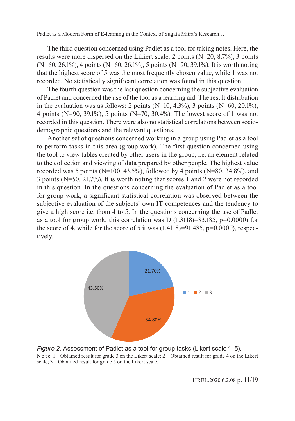The third question concerned using Padlet as a tool for taking notes. Here, the results were more dispersed on the Likiert scale: 2 points (N=20, 8.7%), 3 points (N=60, 26.1%), 4 points (N=60, 26.1%), 5 points (N=90, 39.1%). It is worth noting that the highest score of 5 was the most frequently chosen value, while 1 was not recorded. No statistically significant correlation was found in this question.

The fourth question was the last question concerning the subjective evaluation of Padlet and concerned the use of the tool as a learning aid. The result distribution in the evaluation was as follows: 2 points (N=10, 4.3%), 3 points (N=60, 20.1%), 4 points (N=90, 39.1%), 5 points (N=70, 30.4%). The lowest score of 1 was not recorded in this question. There were also no statistical correlations between sociodemographic questions and the relevant questions.

Another set of questions concerned working in a group using Padlet as a tool to perform tasks in this area (group work). The first question concerned using the tool to view tables created by other users in the group, i.e. an element related to the collection and viewing of data prepared by other people. The highest value recorded was 5 points (N=100, 43.5%), followed by 4 points (N=80, 34.8%), and 3 points (N=50, 21.7%). It is worth noting that scores 1 and 2 were not recorded in this question. In the questions concerning the evaluation of Padlet as a tool for group work, a significant statistical correlation was observed between the subjective evaluation of the subjects' own IT competences and the tendency to give a high score i.e. from 4 to 5. In the questions concerning the use of Padlet as a tool for group work, this correlation was D  $(1.3118)=83.185$ ,  $p=0.0000$  for the score of 4, while for the score of 5 it was  $(1.4118)=91.485$ ,  $p=0.0000$ , respectively.



*Figure 2.* Assessment of Padlet as a tool for group tasks (Likert scale 1–5). N o t e: 1 – Obtained result for grade 3 on the Likert scale; 2 – Obtained result for grade 4 on the Likert scale; 3 – Obtained result for grade 5 on the Likert scale.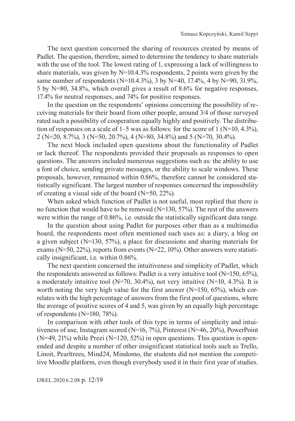The next question concerned the sharing of resources created by means of Padlet. The question, therefore, aimed to determine the tendency to share materials with the use of the tool. The lowest rating of 1, expressing a lack of willingness to share materials, was given by  $N=10.4.3\%$  respondents, 2 points were given by the same number of respondents (N=10.4.3%), 3 by N=40, 17.4%, 4 by N=90, 31.9%, 5 by N=80, 34.8%, which overall gives a result of 8.6% for negative responses, 17.4% for neutral responses, and 74% for positive responses.

In the question on the respondents' opinions concerning the possibility of receiving materials for their board from other people, around 3/4 of those surveyed rated such a possibility of cooperation equally highly and positively. The distribution of responses on a scale of 1–5 was as follows: for the score of 1 (N=10, 4.3%), 2 (N=20, 8.7%), 3 (N=50, 20.7%), 4 (N=80, 34.8%) and 5 (N=70, 30.4%).

The next block included open questions about the functionality of Padlet or lack thereof. The respondents provided their proposals as responses to open questions. The answers included numerous suggestions such as: the ability to use a font of choice, sending private messages, or the ability to scale windows. These proposals, however, remained within 0.86%, therefore cannot be considered statistically significant. The largest number of responses concerned the impossibility of creating a visual side of the board (N=50, 22%).

When asked which function of Padlet is not useful, most replied that there is no function that would have to be removed (N=130, 57%). The rest of the answers were within the range of 0.86%, i.e. outside the statistically significant data range.

In the question about using Padlet for purposes other than as a multimedia board, the respondents most often mentioned such uses as: a diary, a blog on a given subject (N=130, 57%), a place for discussions and sharing materials for exams ( $N=50$ , 22%), reports from events ( $N=22$ , 10%). Other answers were statistically insignificant, i.e. within 0.86%.

The next question concerned the intuitiveness and simplicity of Padlet, which the respondents answered as follows: Padlet is a very intuitive tool  $(N=150, 65\%)$ , a moderately intuitive tool ( $N=70$ ,  $30.4\%$ ), not very intuitive ( $N=10$ ,  $4.3\%$ ). It is worth noting the very high value for the first answer  $(N=150, 65\%)$ , which correlates with the high percentage of answers from the first pool of questions, where the average of positive scores of 4 and 5, was given by an equally high percentage of respondents (N=180, 78%).

In comparison with other tools of this type in terms of simplicity and intuitiveness of use, Instagram scored (N=16, 7%), Pinterest (N=46, 20%), PowerPoint (N=49, 21%) while Prezi (N=120, 52%) in open questions. This question is openended and despite a number of other insignificant statistical tools such as Trello, Linoit, Pearltrees, Mind24, Mindomo, the students did not mention the competitive Moodle platform, even though everybody used it in their first year of studies.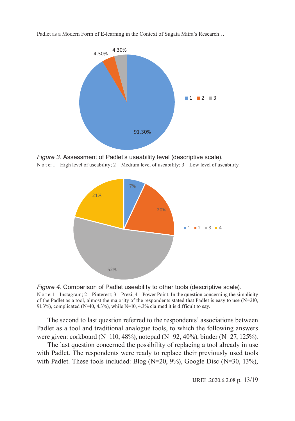

*Figure 3.* Assessment of Padlet's useability level (descriptive scale). N o t e:  $1 -$  High level of useability;  $2 -$  Medium level of useability;  $3 -$  Low level of useability.





The second to last question referred to the respondents' associations between Padlet as a tool and traditional analogue tools, to which the following answers were given: corkboard (N=110, 48%), notepad (N=92, 40%), binder (N=27, 125%).

The last question concerned the possibility of replacing a tool already in use with Padlet. The respondents were ready to replace their previously used tools with Padlet. These tools included: Blog (N=20, 9%), Google Disc (N=30, 13%),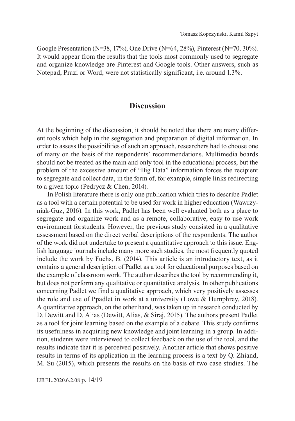Google Presentation (N=38, 17%), One Drive (N=64, 28%), Pinterest (N=70, 30%). It would appear from the results that the tools most commonly used to segregate and organize knowledge are Pinterest and Google tools. Other answers, such as Notepad, Prazi or Word, were not statistically significant, i.e. around 1.3%.

## **Discussion**

At the beginning of the discussion, it should be noted that there are many different tools which help in the segregation and preparation of digital information. In order to assess the possibilities of such an approach, researchers had to choose one of many on the basis of the respondents' recommendations. Multimedia boards should not be treated as the main and only tool in the educational process, but the problem of the excessive amount of "Big Data" information forces the recipient to segregate and collect data, in the form of, for example, simple links redirecting to a given topic (Pedrycz & Chen, 2014).

In Polish literature there is only one publication which tries to describe Padlet as a tool with a certain potential to be used for work in higher education (Wawrzyniak-Guz, 2016). In this work, Padlet has been well evaluated both as a place to segregate and organize work and as a remote, collaborative, easy to use work environment forstudents. However, the previous study consisted in a qualitative assessment based on the direct verbal descriptions of the respondents. The author of the work did not undertake to present a quantitative approach to this issue. English language journals include many more such studies, the most frequently quoted include the work by Fuchs, B. (2014). This article is an introductory text, as it contains a general description of Padlet as a tool for educational purposes based on the example of classroom work. The author describes the tool by recommending it, but does not perform any qualitative or quantitative analysis. In other publications concerning Padlet we find a qualitative approach, which very positively assesses the role and use of Ppadlet in work at a university (Lowe & Humphrey, 2018). A quantitative approach, on the other hand, was taken up in research conducted by D. Dewitt and D. Alias (Dewitt, Alias, & Siraj, 2015). The authors present Padlet as a tool for joint learning based on the example of a debate. This study confirms its usefulness in acquiring new knowledge and joint learning in a group. In addition, students were interviewed to collect feedback on the use of the tool, and the results indicate that it is perceived positively. Another article that shows positive results in terms of its application in the learning process is a text by Q. Zhiand, M. Su (2015), which presents the results on the basis of two case studies. The

IJREL.2020.6.2.08 p. 14/19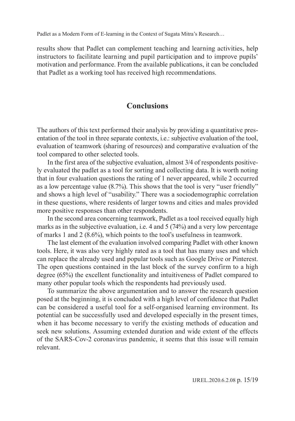results show that Padlet can complement teaching and learning activities, help instructors to facilitate learning and pupil participation and to improve pupils' motivation and performance. From the available publications, it can be concluded that Padlet as a working tool has received high recommendations.

## **Conclusions**

The authors of this text performed their analysis by providing a quantitative presentation of the tool in three separate contexts, i.e.: subjective evaluation of the tool, evaluation of teamwork (sharing of resources) and comparative evaluation of the tool compared to other selected tools.

In the first area of the subjective evaluation, almost 3/4 of respondents positively evaluated the padlet as a tool for sorting and collecting data. It is worth noting that in four evaluation questions the rating of 1 never appeared, while 2 occurred as a low percentage value (8.7%). This shows that the tool is very "user friendly" and shows a high level of "usability." There was a sociodemographic correlation in these questions, where residents of larger towns and cities and males provided more positive responses than other respondents.

In the second area concerning teamwork, Padlet as a tool received equally high marks as in the subjective evaluation, i.e. 4 and 5 (74%) and a very low percentage of marks 1 and 2 (8.6%), which points to the tool's usefulness in teamwork.

The last element of the evaluation involved comparing Padlet with other known tools. Here, it was also very highly rated as a tool that has many uses and which can replace the already used and popular tools such as Google Drive or Pinterest. The open questions contained in the last block of the survey confirm to a high degree (65%) the excellent functionality and intuitiveness of Padlet compared to many other popular tools which the respondents had previously used.

To summarize the above argumentation and to answer the research question posed at the beginning, it is concluded with a high level of confidence that Padlet can be considered a useful tool for a self-organised learning environment. Its potential can be successfully used and developed especially in the present times, when it has become necessary to verify the existing methods of education and seek new solutions. Assuming extended duration and wide extent of the effects of the SARS-Cov-2 coronavirus pandemic, it seems that this issue will remain relevant.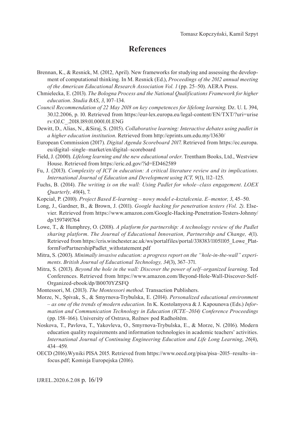## **References**

- Brennan, K., & Resnick, M. (2012, April). New frameworks for studying and assessing the development of computational thinking*.* In M. Resnick (Ed.), *Proceedings of the 2012 annual meeting of the American Educational Research Association Vol. 1* (pp. 25–50). AERA Press.
- Chmielecka, E. (2013). *The Bologna Process and the National Qualifications Framework for higher education*. *Studia BAS*, *3*, 107–134.
- *Council Recommendation of 22 May 2018 on key competences for lifelong learning*. Dz. U. L 394, 30.12.2006, p. 10. Retrieved from https://eur-lex.europa.eu/legal-content/EN/TXT/?uri=urise rv:OJ.C\_.2018.189.01.0001.01.ENG
- Dewitt, D., Alias, N., &Siraj, S. (2015). *Collaborative learning: Interactive debates using padlet in a higher education institution*. Retrieved from http://eprints.um.edu.my/13630/
- European Commission (2017). *Digital Agenda Scoreboard 2017*. Retrieved from https://ec.europa. eu/digital–single–market/en/digital–scoreboard
- Field, J. (2000). *Lifelong learning and the new educational order*. Trentham Books, Ltd., Westview House. Retrieved from https://eric.ed.gov/?id=ED462589
- Fu, J. (2013). *Complexity of ICT in education: A critical literature review and its implications*. *International Journal of Education and Development using ICT, 9*(1), 112–125.
- Fuchs, B. (2014). *The writing is on the wall: Using Padlet for whole–class engagement*. *LOEX Quarterly, 40*(4), 7.
- Kopciał, P. (2010). *Project Based E-learning nowy model e-kształcenia*. *E–mentor, 3*, 45–50.
- Long, J., Gardner, B., & Brown, J. (2011). *Google hacking for penetration testers (Vol. 2)*. Elsevier. Retrieved from https://www.amazon.com/Google-Hacking-Penetration-Testers-Johnny/ dp/1597491764
- Lowe, T., & Humphrey, O. (2018). *A platform for partnership: A technology review of the Padlet sharing platform*. *The Journal of Educational Innovation, Partnership and Change, 4*(1). Retrieved from https://cris.winchester.ac.uk/ws/portalfiles/portal/338383/11051105\_Lowe\_PlatformForPartnershipPadlet\_withstatement.pdf
- Mitra, S. (2003). *Minimally invasive education: a progress report on the "hole‐in‐the‐wall" experiments*. *British Journal of Educational Technology, 34*(3), 367–371.
- Mitra, S. (2013). *Beyond the hole in the wall: Discover the power of self–organized learning*. Ted Conferences. Retrieved from https://www.amazon.com/Beyond-Hole-Wall-Discover-Self-Organized-ebook/dp/B0070YZSFQ
- Montessori, M. (2013). *The Montessori method*. Transaction Publishers.
- Morze, N., Spivak, S., & Smyrnova-Trybulska, E. (2014). *Personalized educational environment – as one of the trends of modern education.* In K. Kostolanyova & J. Kapounova (Eds.) *Information and Communication Technology in Education (ICTE–2014) Conference Proceedings* (pp. 158–166). University of Ostrava, Rožnov pod Radhoštěm.
- Noskova, T., Pavlova, T., Yakovleva, O., Smyrnova-Trybulska, E., & Morze, N. (2016). Modern education quality requirements and information technologies in academic teachers' activities. *International Journal of Continuing Engineering Education and Life Long Learning*, *26*(4), 434–459.
- OECD (2016).Wyniki PISA 2015. Retrieved from https://www.oecd.org/pisa/pisa–2015–results–in– focus.pdf; Komisja Europejska (2016).

IJREL.2020.6.2.08 p. 16/19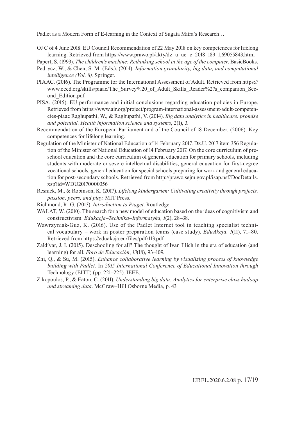OJ C of 4 June 2018. EU Council Recommendation of 22 May 2018 on key competences for lifelong learning. Retrieved from https://www.prawo.pl/akty/dz–u–ue–c–2018–189–1,69055843.html

Papert, S. (1993). *The children's machine: Rethinking school in the age of the computer*. BasicBooks.

- Pedrycz, W., & Chen, S. M. (Eds.). (2014). *Information granularity, big data, and computational intelligence (Vol. 8).* Springer.
- PIAAC. (2016). The Programme for the International Assessment of Adult. Retrieved from https:// www.oecd.org/skills/piaac/The\_Survey%20\_of\_Adult\_Skills\_Reader%27s\_companion\_Second\_Edition.pdf
- PISA. (2015). EU performance and initial conclusions regarding education policies in Europe. Retrieved from https://www.air.org/project/program-international-assessment-adult-competencies-piaac Raghupathi, W., & Raghupathi, V. (2014). *Big data analytics in healthcare: promise and potential. Health information science and systems*, 2(1), 3.
- Recommendation of the European Parliament and of the Council of 18 December. (2006). Key competences for lifelong learning.
- Regulation of the Minister of National Education of 14 February 2017. Dz.U. 2017 item 356 Regulation of the Minister of National Education of 14 February 2017. On the core curriculum of preschool education and the core curriculum of general education for primary schools, including students with moderate or severe intellectual disabilities, general education for first-degree vocational schools, general education for special schools preparing for work and general education for post-secondary schools. Retrieved from http://prawo.sejm.gov.pl/isap.nsf/DocDetails. xsp?id=WDU20170000356
- Resnick, M., & Robinson, K. (2017). *Lifelong kindergarten: Cultivating creativity through projects, passion, peers, and play*. MIT Press.
- Richmond, R. G. (2013). *Introduction to Piaget*. Routledge.
- WALAT, W. (2010). The search for a new model of education based on the ideas of cognitivism and constructivism. *Edukacja–Technika–Informatyka, 1*(2), 28–38.
- Wawrzyniak-Guz, K. (2016). Use of the Padlet Internet tool in teaching specialist technical vocabulary – work in poster preparation teams (case study). *EduAkcja, 1*(11), 71–80. Retrieved from https://eduakcja.eu/files/pdf/113.pdf
- Zaldívar, J. I. (2015). Deschooling for all? The thought of Ivan Illich in the era of education (and learning) for all. *Foro de Educación*, *13*(18), 93–109.
- Zhi, Q., & Su, M. (2015). *Enhance collaborative learning by visualizing process of knowledge building with Padlet.* In *2015 International Conference of Educational Innovation through*  Technology (EITT) (pp. 221–225). IEEE.
- Zikopoulos, P., & Eaton, C. (2011). *Understanding big data: Analytics for enterprise class hadoop and streaming data*. McGraw–Hill Osborne Media, p. 43.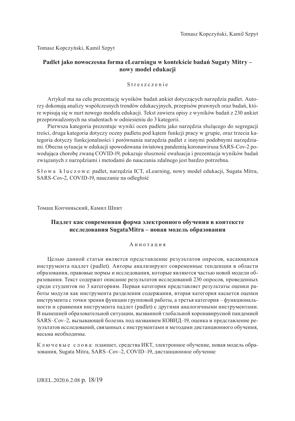Tomasz Kopczyński, Kamil Szpyt

#### **Padlet jako nowoczesna forma eLearningu w kontekście badań Sugaty Mitry – nowy model edukacji**

#### Streszczenie

Artykuł ma na celu prezentację wyników badań ankiet dotyczących narzędzia padlet. Autorzy dokonują analizy współczesnych trendów edukacyjnych, przepisów prawnych oraz badań, które wpisują się w nurt nowego modelu edukacji. Tekst zawiera opisy z wyników badań z 230 ankiet przeprowadzonych na studentach w odniesieniu do 3 kategorii.

Pierwsza kategoria prezentuje wyniki ocen padletu jako narzędzia służącego do segregacji treści, druga kategoria dotyczy oceny padletu pod kątem funkcji pracy w grupie, oraz trzecia kategoria dotyczy funkcjonalności i porównania narzędzia padlet z innymi podobnymi narzędziami. Obecna sytuacja w edukacji spowodowana światową pandemią koronawirusa SARS-Cov-2 powodująca chorobę zwaną COVID-19, pokazuje słuszność ewaluacja i prezentacja wyników badań związanych z narzędziami i metodami do nauczania zdalnego jest bardzo potrzebna.

Słowa kluczowe: padlet, narzędzia ICT, eLearning, nowy model edukacji, Sugata Mitra, SARS-Cov-2, COVID-19, nauczanie na odległość

Томаш Копчиньский, Камил Шпит

#### **Падлет как современная форма электронного обучения в контексте исследования SugataMitra – новая модель образования**

#### А н н о т а ц и я

Целью данной статьи является представление результатов опросов, касающихся инструмента падлет (padlet). Авторы анализируют современные тенденции в области образования, правовые нормы и исследования, которые являются частью новой модели образования. Текст содержит описание результатов исследований 230 опросов, проведенных среди студентов по 3 категориям. Первая категория представляет результаты оценки работы модуля как инструмента разделения содержания, вторая категория касается оценки инструмента с точки зрения функции групповой работы, а третья категория – функциональности и сравнения инструмента падлет (padlet) с другими аналогичными инструментами. В нынешней образовательной ситуации, вызванной глобальной коронавирусной пандемией SARS–Cov–2, вызывающей болезнь под названием КОВИД–19, оценка и представление результатов исследований, связанных с инструментами и методами дистанционного обучения, весьма необходимы.

К л ю ч е в ы е с л о в а: планшет, средства ИКТ, электронное обучение, новая модель образования, Sugata Mitra, SARS–Cov–2, COVID–19, дистанционное обучение

IJREL.2020.6.2.08 p. 18/19